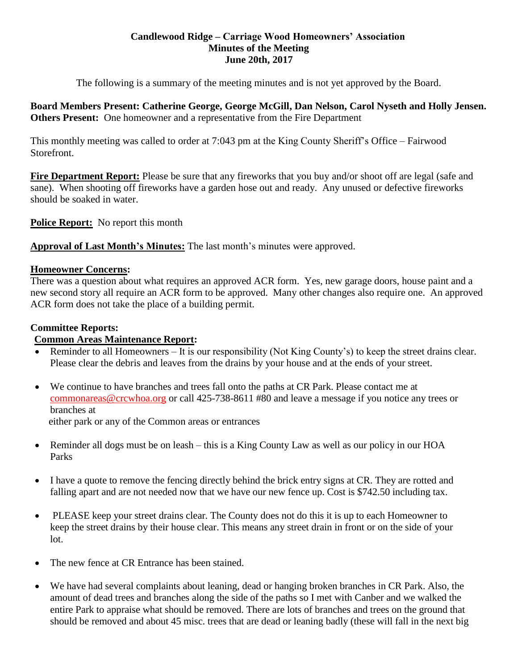## **Candlewood Ridge – Carriage Wood Homeowners' Association Minutes of the Meeting June 20th, 2017**

The following is a summary of the meeting minutes and is not yet approved by the Board.

**Board Members Present: Catherine George, George McGill, Dan Nelson, Carol Nyseth and Holly Jensen. Others Present:** One homeowner and a representative from the Fire Department

This monthly meeting was called to order at 7:043 pm at the King County Sheriff's Office – Fairwood Storefront.

**Fire Department Report:** Please be sure that any fireworks that you buy and/or shoot off are legal (safe and sane). When shooting off fireworks have a garden hose out and ready. Any unused or defective fireworks should be soaked in water.

**Police Report:** No report this month

**Approval of Last Month's Minutes:** The last month's minutes were approved.

# **Homeowner Concerns:**

There was a question about what requires an approved ACR form. Yes, new garage doors, house paint and a new second story all require an ACR form to be approved. Many other changes also require one. An approved ACR form does not take the place of a building permit.

# **Committee Reports:**

# **Common Areas Maintenance Report:**

- Reminder to all Homeowners It is our responsibility (Not King County's) to keep the street drains clear. Please clear the debris and leaves from the drains by your house and at the ends of your street.
- We continue to have branches and trees fall onto the paths at CR Park. Please contact me at [commonareas@crcwhoa.org](mailto:commonareas@crcwhoa.org) or call 425-738-8611 #80 and leave a message if you notice any trees or branches at

either park or any of the Common areas or entrances

- Reminder all dogs must be on leash this is a King County Law as well as our policy in our HOA Parks
- I have a quote to remove the fencing directly behind the brick entry signs at CR. They are rotted and falling apart and are not needed now that we have our new fence up. Cost is \$742.50 including tax.
- PLEASE keep your street drains clear. The County does not do this it is up to each Homeowner to keep the street drains by their house clear. This means any street drain in front or on the side of your lot.
- The new fence at CR Entrance has been stained.
- We have had several complaints about leaning, dead or hanging broken branches in CR Park. Also, the amount of dead trees and branches along the side of the paths so I met with Canber and we walked the entire Park to appraise what should be removed. There are lots of branches and trees on the ground that should be removed and about 45 misc. trees that are dead or leaning badly (these will fall in the next big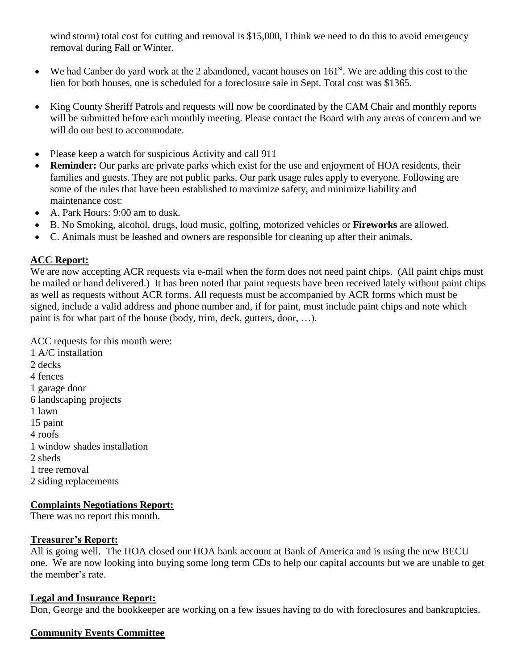wind storm) total cost for cutting and removal is \$15,000, I think we need to do this to avoid emergency removal during Fall or Winter.

- $\bullet$  We had Canber do yard work at the 2 abandoned, vacant houses on 161<sup>st</sup>. We are adding this cost to the lien for both houses, one is scheduled for a foreclosure sale in Sept. Total cost was \$1365.
- King County Sheriff Patrols and requests will now be coordinated by the CAM Chair and monthly reports will be submitted before each monthly meeting. Please contact the Board with any areas of concern and we will do our best to accommodate.
- Please keep a watch for suspicious Activity and call 911
- **Reminder:** Our parks are private parks which exist for the use and enjoyment of HOA residents, their families and guests. They are not public parks. Our park usage rules apply to everyone. Following are some of the rules that have been established to maximize safety, and minimize liability and maintenance cost:
- A. Park Hours: 9:00 am to dusk.
- B. No Smoking, alcohol, drugs, loud music, golfing, motorized vehicles or **Fireworks** are allowed.
- C. Animals must be leashed and owners are responsible for cleaning up after their animals.

# **ACC Report:**

We are now accepting ACR requests via e-mail when the form does not need paint chips. (All paint chips must be mailed or hand delivered.) It has been noted that paint requests have been received lately without paint chips as well as requests without ACR forms. All requests must be accompanied by ACR forms which must be signed, include a valid address and phone number and, if for paint, must include paint chips and note which paint is for what part of the house (body, trim, deck, gutters, door, …).

ACC requests for this month were: 1 A/C installation 2 decks 4 fences 1 garage door 6 landscaping projects 1 lawn 15 paint 4 roofs 1 window shades installation

- 2 sheds
- 1 tree removal
- 2 siding replacements

# **Complaints Negotiations Report:**

There was no report this month.

# **Treasurer's Report:**

All is going well. The HOA closed our HOA bank account at Bank of America and is using the new BECU one. We are now looking into buying some long term CDs to help our capital accounts but we are unable to get the member's rate.

# **Legal and Insurance Report:**

Don, George and the bookkeeper are working on a few issues having to do with foreclosures and bankruptcies.

# **Community Events Committee**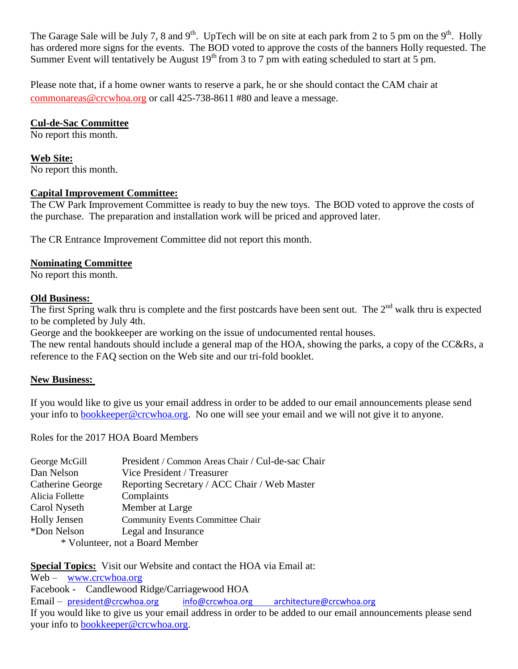The Garage Sale will be July 7, 8 and 9<sup>th</sup>. UpTech will be on site at each park from 2 to 5 pm on the 9<sup>th</sup>. Holly has ordered more signs for the events. The BOD voted to approve the costs of the banners Holly requested. The Summer Event will tentatively be August  $19<sup>th</sup>$  from 3 to 7 pm with eating scheduled to start at 5 pm.

Please note that, if a home owner wants to reserve a park, he or she should contact the CAM chair at [commonareas@crcwhoa.org](mailto:commonareas@crcwhoa.org) or call 425-738-8611 #80 and leave a message.

# **Cul-de-Sac Committee**

No report this month.

#### **Web Site:** No report this month.

# **Capital Improvement Committee:**

The CW Park Improvement Committee is ready to buy the new toys. The BOD voted to approve the costs of the purchase. The preparation and installation work will be priced and approved later.

The CR Entrance Improvement Committee did not report this month.

# **Nominating Committee**

No report this month.

# **Old Business:**

The first Spring walk thru is complete and the first postcards have been sent out. The  $2<sup>nd</sup>$  walk thru is expected to be completed by July 4th.

George and the bookkeeper are working on the issue of undocumented rental houses.

The new rental handouts should include a general map of the HOA, showing the parks, a copy of the CC&Rs, a reference to the FAQ section on the Web site and our tri-fold booklet.

# **New Business:**

If you would like to give us your email address in order to be added to our email announcements please send your info to [bookkeeper@crcwhoa.org.](mailto:bookkeeper@crcwhoa.org) No one will see your email and we will not give it to anyone.

Roles for the 2017 HOA Board Members

| George McGill                   | President / Common Areas Chair / Cul-de-sac Chair |
|---------------------------------|---------------------------------------------------|
| Dan Nelson                      | Vice President / Treasurer                        |
| Catherine George                | Reporting Secretary / ACC Chair / Web Master      |
| Alicia Follette                 | Complaints                                        |
| Carol Nyseth                    | Member at Large                                   |
| <b>Holly Jensen</b>             | <b>Community Events Committee Chair</b>           |
| *Don Nelson                     | Legal and Insurance                               |
| * Volunteer, not a Board Member |                                                   |

**Special Topics:** Visit our Website and contact the HOA via Email at:

Web – [www.crcwhoa.org](http://www.crcwhoa.org/) Facebook - Candlewood Ridge/Carriagewood HOA Email – [president@crcwhoa.org](mailto:president@crcwhoa.org) [info@crcwhoa.org](mailto:info@crcwhoa.org) [architecture@crcwhoa.org](mailto:architecture@crcwhoa.org) If you would like to give us your email address in order to be added to our email announcements please send your info to [bookkeeper@crcwhoa.org.](mailto:bookkeeper@crcwhoa.org)